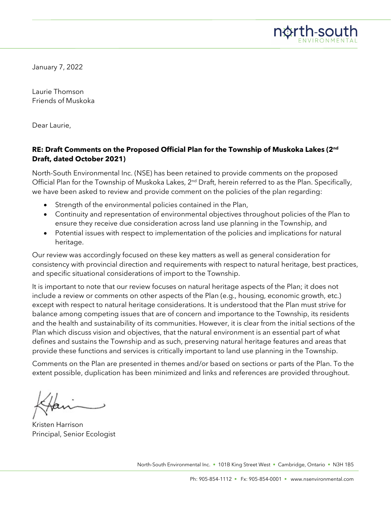

January 7, 2022

Laurie Thomson Friends of Muskoka

Dear Laurie,

#### **RE: Draft Comments on the Proposed Official Plan for the Township of Muskoka Lakes (2nd Draft, dated October 2021)**

North-South Environmental Inc. (NSE) has been retained to provide comments on the proposed Official Plan for the Township of Muskoka Lakes, 2<sup>nd</sup> Draft, herein referred to as the Plan. Specifically, we have been asked to review and provide comment on the policies of the plan regarding:

- Strength of the environmental policies contained in the Plan,
- Continuity and representation of environmental objectives throughout policies of the Plan to ensure they receive due consideration across land use planning in the Township, and
- Potential issues with respect to implementation of the policies and implications for natural heritage.

Our review was accordingly focused on these key matters as well as general consideration for consistency with provincial direction and requirements with respect to natural heritage, best practices, and specific situational considerations of import to the Township.

It is important to note that our review focuses on natural heritage aspects of the Plan; it does not include a review or comments on other aspects of the Plan (e.g., housing, economic growth, etc.) except with respect to natural heritage considerations. It is understood that the Plan must strive for balance among competing issues that are of concern and importance to the Township, its residents and the health and sustainability of its communities. However, it is clear from the initial sections of the Plan which discuss vision and objectives, that the natural environment is an essential part of what defines and sustains the Township and as such, preserving natural heritage features and areas that provide these functions and services is critically important to land use planning in the Township.

Comments on the Plan are presented in themes and/or based on sections or parts of the Plan. To the extent possible, duplication has been minimized and links and references are provided throughout.

Kristen Harrison Principal, Senior Ecologist

North-South Environmental Inc. • 101B King Street West • Cambridge, Ontario • N3H 1B5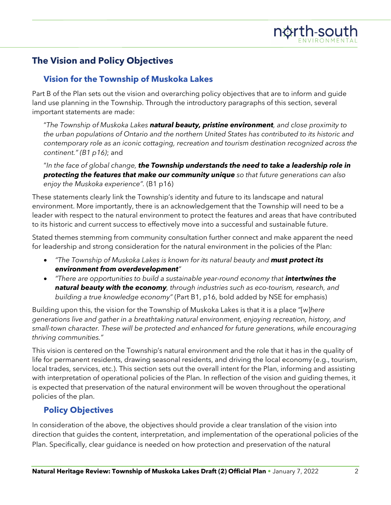# **The Vision and Policy Objectives**

## **Vision for the Township of Muskoka Lakes**

Part B of the Plan sets out the vision and overarching policy objectives that are to inform and guide land use planning in the Township. Through the introductory paragraphs of this section, several important statements are made:

"*The Township of Muskoka Lakes natural beauty, pristine environment, and close proximity to the urban populations of Ontario and the northern United States has contributed to its historic and contemporary role as an iconic cottaging, recreation and tourism destination recognized across the continent." (B1 p16)*; and

"*In the face of global change, the Township understands the need to take a leadership role in protecting the features that make our community unique so that future generations can also enjoy the Muskoka experience".* (B1 p16)

These statements clearly link the Township's identity and future to its landscape and natural environment. More importantly, there is an acknowledgement that the Township will need to be a leader with respect to the natural environment to protect the features and areas that have contributed to its historic and current success to effectively move into a successful and sustainable future.

Stated themes stemming from community consultation further connect and make apparent the need for leadership and strong consideration for the natural environment in the policies of the Plan:

- *"The Township of Muskoka Lakes is known for its natural beauty and must protect its environment from overdevelopment"*
- *There are opportunities to build a sustainable year-round economy that intertwines the natural beauty with the economy, through industries such as eco-tourism, research, and building a true knowledge economy"* (Part B1, p16, bold added by NSE for emphasis)

Building upon this, the vision for the Township of Muskoka Lakes is that it is a place "[w]*here generations live and gather in a breathtaking natural environment, enjoying recreation, history, and small-town character. These will be protected and enhanced for future generations, while encouraging thriving communities."*

This vision is centered on the Township's natural environment and the role that it has in the quality of life for permanent residents, drawing seasonal residents, and driving the local economy (e.g., tourism, local trades, services, etc.). This section sets out the overall intent for the Plan, informing and assisting with interpretation of operational policies of the Plan. In reflection of the vision and guiding themes, it is expected that preservation of the natural environment will be woven throughout the operational policies of the plan.

## **Policy Objectives**

In consideration of the above, the objectives should provide a clear translation of the vision into direction that guides the content, interpretation, and implementation of the operational policies of the Plan. Specifically, clear guidance is needed on how protection and preservation of the natural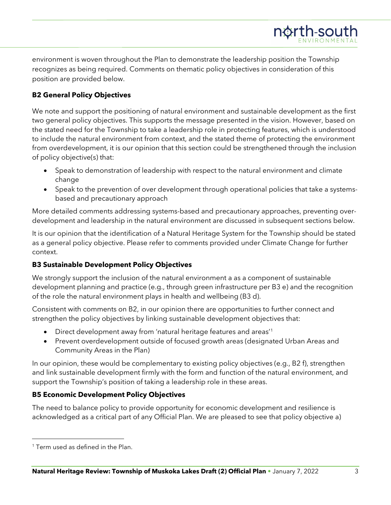environment is woven throughout the Plan to demonstrate the leadership position the Township recognizes as being required. Comments on thematic policy objectives in consideration of this position are provided below.

## **B2 General Policy Objectives**

We note and support the positioning of natural environment and sustainable development as the first two general policy objectives. This supports the message presented in the vision. However, based on the stated need for the Township to take a leadership role in protecting features, which is understood to include the natural environment from context, and the stated theme of protecting the environment from overdevelopment, it is our opinion that this section could be strengthened through the inclusion of policy objective(s) that:

- Speak to demonstration of leadership with respect to the natural environment and climate change
- Speak to the prevention of over development through operational policies that take a systemsbased and precautionary approach

More detailed comments addressing systems-based and precautionary approaches, preventing overdevelopment and leadership in the natural environment are discussed in subsequent sections below.

It is our opinion that the identification of a Natural Heritage System for the Township should be stated as a general policy objective. Please refer to comments provided under Climate Change for further context.

## **B3 Sustainable Development Policy Objectives**

We strongly support the inclusion of the natural environment a as a component of sustainable development planning and practice (e.g., through green infrastructure per B3 e) and the recognition of the role the natural environment plays in health and wellbeing (B3 d).

Consistent with comments on B2, in our opinion there are opportunities to further connect and strengthen the policy objectives by linking sustainable development objectives that:

- Direct development away from 'natural heritage features and areas'<sup>[1](#page-2-0)</sup>
- Prevent overdevelopment outside of focused growth areas (designated Urban Areas and Community Areas in the Plan)

In our opinion, these would be complementary to existing policy objectives (e.g., B2 f), strengthen and link sustainable development firmly with the form and function of the natural environment, and support the Township's position of taking a leadership role in these areas.

## **B5 Economic Development Policy Objectives**

The need to balance policy to provide opportunity for economic development and resilience is acknowledged as a critical part of any Official Plan. We are pleased to see that policy objective a)

north-south

<span id="page-2-0"></span><sup>&</sup>lt;sup>1</sup> Term used as defined in the Plan.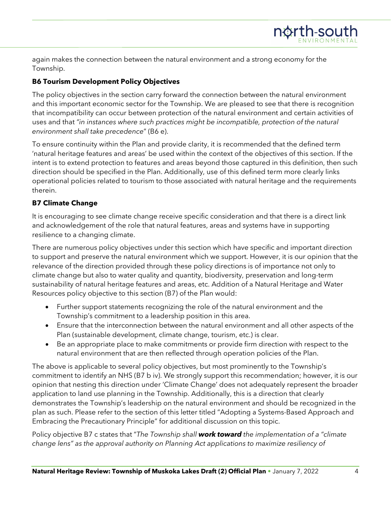again makes the connection between the natural environment and a strong economy for the Township.

## **B6 Tourism Development Policy Objectives**

The policy objectives in the section carry forward the connection between the natural environment and this important economic sector for the Township. We are pleased to see that there is recognition that incompatibility can occur between protection of the natural environment and certain activities of uses and that *"in instances where such practices might be incompatible, protection of the natural environment shall take precedence*" (B6 e).

To ensure continuity within the Plan and provide clarity, it is recommended that the defined term 'natural heritage features and areas' be used within the context of the objectives of this section. If the intent is to extend protection to features and areas beyond those captured in this definition, then such direction should be specified in the Plan. Additionally, use of this defined term more clearly links operational policies related to tourism to those associated with natural heritage and the requirements therein.

## **B7 Climate Change**

It is encouraging to see climate change receive specific consideration and that there is a direct link and acknowledgement of the role that natural features, areas and systems have in supporting resilience to a changing climate.

There are numerous policy objectives under this section which have specific and important direction to support and preserve the natural environment which we support. However, it is our opinion that the relevance of the direction provided through these policy directions is of importance not only to climate change but also to water quality and quantity, biodiversity, preservation and long-term sustainability of natural heritage features and areas, etc. Addition of a Natural Heritage and Water Resources policy objective to this section (B7) of the Plan would:

- Further support statements recognizing the role of the natural environment and the Township's commitment to a leadership position in this area.
- Ensure that the interconnection between the natural environment and all other aspects of the Plan (sustainable development, climate change, tourism, etc.) is clear.
- Be an appropriate place to make commitments or provide firm direction with respect to the natural environment that are then reflected through operation policies of the Plan.

The above is applicable to several policy objectives, but most prominently to the Township's commitment to identify an NHS (B7 b iv). We strongly support this recommendation; however, it is our opinion that nesting this direction under 'Climate Change' does not adequately represent the broader application to land use planning in the Township. Additionally, this is a direction that clearly demonstrates the Township's leadership on the natural environment and should be recognized in the plan as such. Please refer to the section of this letter titled "Adopting a Systems-Based Approach and Embracing the Precautionary Principle" for additional discussion on this topic.

Policy objective B7 c states that "*The Township shall work toward the implementation of a "climate change lens" as the approval authority on Planning Act applications to maximize resiliency of*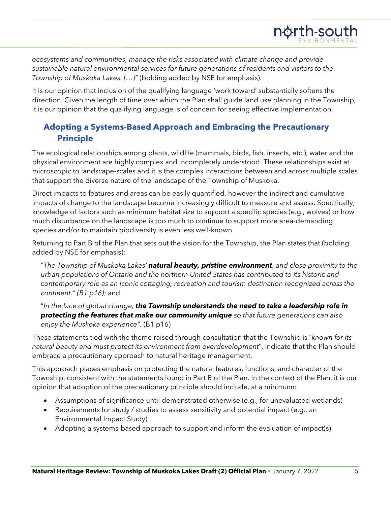*ecosystems and communities, manage the risks associated with climate change and provide sustainable natural environmental services for future generations of residents and visitors to the Township of Muskoka Lakes. […]"* (bolding added by NSE for emphasis).

It is our opinion that inclusion of the qualifying language 'work toward' substantially softens the direction. Given the length of time over which the Plan shall guide land use planning in the Township, it is our opinion that the qualifying language is of concern for seeing effective implementation.

## **Adopting a Systems-Based Approach and Embracing the Precautionary Principle**

The ecological relationships among plants, wildlife (mammals, birds, fish, insects, etc.), water and the physical environment are highly complex and incompletely understood. These relationships exist at microscopic to landscape-scales and it is the complex interactions between and across multiple scales that support the diverse nature of the landscape of the Township of Muskoka.

Direct impacts to features and areas can be easily quantified, however the indirect and cumulative impacts of change to the landscape become increasingly difficult to measure and assess. Specifically, knowledge of factors such as minimum habitat size to support a specific species (e.g., wolves) or how much disturbance on the landscape is too much to continue to support more area-demanding species and/or to maintain biodiversity is even less well-known.

Returning to Part B of the Plan that sets out the vision for the Township, the Plan states that (bolding added by NSE for emphasis):

"*The Township of Muskoka Lakes' natural beauty, pristine environment, and close proximity to the urban populations of Ontario and the northern United States has contributed to its historic and contemporary role as an iconic cottaging, recreation and tourism destination recognized across the continent." (B1 p16)*; and

"*In the face of global change, the Township understands the need to take a leadership role in protecting the features that make our community unique so that future generations can also enjoy the Muskoka experience".* (B1 p16)

These statements tied with the theme raised through consultation that the Township is "*known for its natural beauty and must protect its environment from overdevelopment*", indicate that the Plan should embrace a precautionary approach to natural heritage management.

This approach places emphasis on protecting the natural features, functions, and character of the Township, consistent with the statements found in Part B of the Plan. In the context of the Plan, it is our opinion that adoption of the precautionary principle should include, at a minimum:

- Assumptions of significance until demonstrated otherwise (e.g., for unevaluated wetlands)
- Requirements for study / studies to assess sensitivity and potential impact (e.g., an Environmental Impact Study)
- Adopting a systems-based approach to support and inform the evaluation of impact(s)

north-south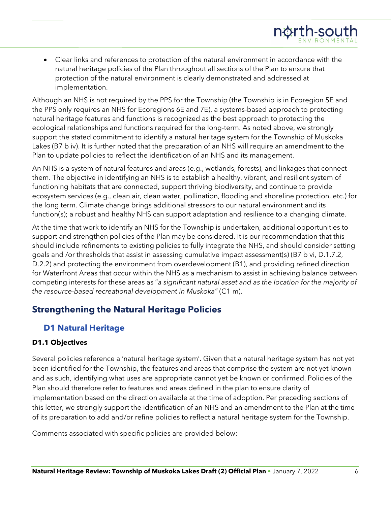• Clear links and references to protection of the natural environment in accordance with the natural heritage policies of the Plan throughout all sections of the Plan to ensure that protection of the natural environment is clearly demonstrated and addressed at implementation.

Although an NHS is not required by the PPS for the Township (the Township is in Ecoregion 5E and the PPS only requires an NHS for Ecoregions 6E and 7E), a systems-based approach to protecting natural heritage features and functions is recognized as the best approach to protecting the ecological relationships and functions required for the long-term. As noted above, we strongly support the stated commitment to identify a natural heritage system for the Township of Muskoka Lakes (B7 b iv). It is further noted that the preparation of an NHS will require an amendment to the Plan to update policies to reflect the identification of an NHS and its management.

An NHS is a system of natural features and areas (e.g., wetlands, forests), and linkages that connect them. The objective in identifying an NHS is to establish a healthy, vibrant, and resilient system of functioning habitats that are connected, support thriving biodiversity, and continue to provide ecosystem services (e.g., clean air, clean water, pollination, flooding and shoreline protection, etc.) for the long term. Climate change brings additional stressors to our natural environment and its function(s); a robust and healthy NHS can support adaptation and resilience to a changing climate.

At the time that work to identify an NHS for the Township is undertaken, additional opportunities to support and strengthen policies of the Plan may be considered. It is our recommendation that this should include refinements to existing policies to fully integrate the NHS, and should consider setting goals and /or thresholds that assist in assessing cumulative impact assessment(s) (B7 b vi, D.1.7.2, D.2.2) and protecting the environment from overdevelopment (B1), and providing refined direction for Waterfront Areas that occur within the NHS as a mechanism to assist in achieving balance between competing interests for these areas as "*a significant natural asset and as the location for the majority of the resource-based recreational development in Muskoka"* (C1 m).

# **Strengthening the Natural Heritage Policies**

## **D1 Natural Heritage**

## **D1.1 Objectives**

Several policies reference a 'natural heritage system'. Given that a natural heritage system has not yet been identified for the Township, the features and areas that comprise the system are not yet known and as such, identifying what uses are appropriate cannot yet be known or confirmed. Policies of the Plan should therefore refer to features and areas defined in the plan to ensure clarity of implementation based on the direction available at the time of adoption. Per preceding sections of this letter, we strongly support the identification of an NHS and an amendment to the Plan at the time of its preparation to add and/or refine policies to reflect a natural heritage system for the Township.

Comments associated with specific policies are provided below:

north-south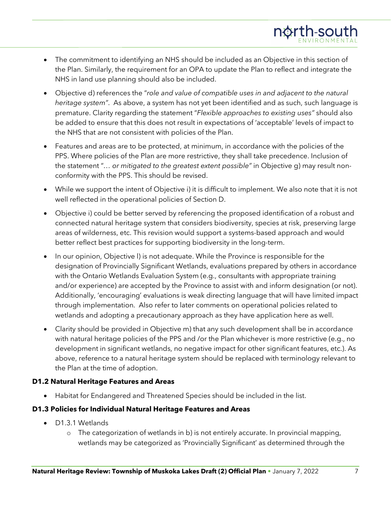- The commitment to identifying an NHS should be included as an Objective in this section of the Plan. Similarly, the requirement for an OPA to update the Plan to reflect and integrate the NHS in land use planning should also be included.
- Objective d) references the "*role and value of compatible uses in and adjacent to the natural heritage system"*. As above, a system has not yet been identified and as such, such language is premature. Clarity regarding the statement "*Flexible approaches to existing uses"* should also be added to ensure that this does not result in expectations of 'acceptable' levels of impact to the NHS that are not consistent with policies of the Plan.
- Features and areas are to be protected, at minimum, in accordance with the policies of the PPS. Where policies of the Plan are more restrictive, they shall take precedence. Inclusion of the statement "*… or mitigated to the greatest extent possible"* in Objective g) may result nonconformity with the PPS. This should be revised.
- While we support the intent of Objective i) it is difficult to implement. We also note that it is not well reflected in the operational policies of Section D.
- Objective i) could be better served by referencing the proposed identification of a robust and connected natural heritage system that considers biodiversity, species at risk, preserving large areas of wilderness, etc. This revision would support a systems-based approach and would better reflect best practices for supporting biodiversity in the long-term.
- In our opinion, Objective l) is not adequate. While the Province is responsible for the designation of Provincially Significant Wetlands, evaluations prepared by others in accordance with the Ontario Wetlands Evaluation System (e.g., consultants with appropriate training and/or experience) are accepted by the Province to assist with and inform designation (or not). Additionally, 'encouraging' evaluations is weak directing language that will have limited impact through implementation. Also refer to later comments on operational policies related to wetlands and adopting a precautionary approach as they have application here as well.
- Clarity should be provided in Objective m) that any such development shall be in accordance with natural heritage policies of the PPS and /or the Plan whichever is more restrictive (e.g., no development in significant wetlands, no negative impact for other significant features, etc.). As above, reference to a natural heritage system should be replaced with terminology relevant to the Plan at the time of adoption.

## **D1.2 Natural Heritage Features and Areas**

• Habitat for Endangered and Threatened Species should be included in the list.

## **D1.3 Policies for Individual Natural Heritage Features and Areas**

- D1.3.1 Wetlands
	- o The categorization of wetlands in b) is not entirely accurate. In provincial mapping, wetlands may be categorized as 'Provincially Significant' as determined through the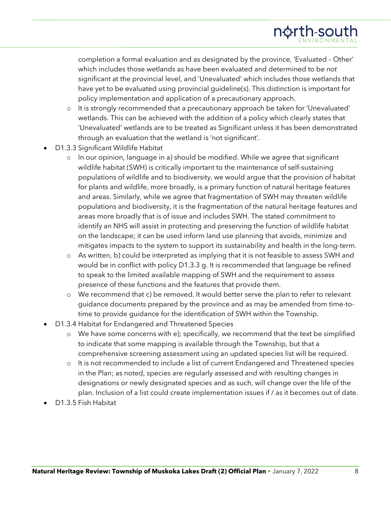completion a formal evaluation and as designated by the province, 'Evaluated – Other' which includes those wetlands as have been evaluated and determined to be *not*  significant at the provincial level, and 'Unevaluated' which includes those wetlands that have yet to be evaluated using provincial guideline(s). This distinction is important for policy implementation and application of a precautionary approach.

- o It is strongly recommended that a precautionary approach be taken for 'Unevaluated' wetlands. This can be achieved with the addition of a policy which clearly states that 'Unevaluated' wetlands are to be treated as Significant unless it has been demonstrated through an evaluation that the wetland is 'not significant'.
- D1.3.3 Significant Wildlife Habitat
	- o In our opinion, language in a) should be modified. While we agree that significant wildlife habitat (SWH) is critically important to the maintenance of self-sustaining populations of wildlife and to biodiversity, we would argue that the provision of habitat for plants and wildlife, more broadly, is a primary function of natural heritage features and areas. Similarly, while we agree that fragmentation of SWH may threaten wildlife populations and biodiversity, it is the fragmentation of the natural heritage features and areas more broadly that is of issue and includes SWH. The stated commitment to identify an NHS will assist in protecting and preserving the function of wildlife habitat on the landscape; it can be used inform land use planning that avoids, minimize and mitigates impacts to the system to support its sustainability and health in the long-term.
	- o As written, b) could be interpreted as implying that it is not feasible to assess SWH and would be in conflict with policy D1.3.3 g. It is recommended that language be refined to speak to the limited available mapping of SWH and the requirement to assess presence of these functions and the features that provide them.
	- o We recommend that c) be removed. It would better serve the plan to refer to relevant guidance documents prepared by the province and as may be amended from time-totime to provide guidance for the identification of SWH within the Township.
- D1.3.4 Habitat for Endangered and Threatened Species
	- o We have some concerns with e); specifically, we recommend that the text be simplified to indicate that some mapping is available through the Township, but that a comprehensive screening assessment using an updated species list will be required.
	- o It is not recommended to include a list of current Endangered and Threatened species in the Plan; as noted, species are regularly assessed and with resulting changes in designations or newly designated species and as such, will change over the life of the plan. Inclusion of a list could create implementation issues if / as it becomes out of date.
- D1.3.5 Fish Habitat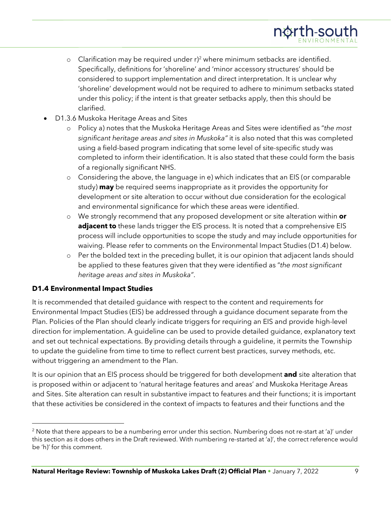- o Clarification may be required under  $r^2$  $r^2$  where minimum setbacks are identified. Specifically, definitions for 'shoreline' and 'minor accessory structures' should be considered to support implementation and direct interpretation. It is unclear why 'shoreline' development would not be required to adhere to minimum setbacks stated under this policy; if the intent is that greater setbacks apply, then this should be clarified.
- D1.3.6 Muskoka Heritage Areas and Sites
	- o Policy a) notes that the Muskoka Heritage Areas and Sites were identified as "*the most significant heritage areas and sites in Muskoka"* it is also noted that this was completed using a field-based program indicating that some level of site-specific study was completed to inform their identification. It is also stated that these could form the basis of a regionally significant NHS.
	- o Considering the above, the language in e) which indicates that an EIS (or comparable study) **may** be required seems inappropriate as it provides the opportunity for development or site alteration to occur without due consideration for the ecological and environmental significance for which these areas were identified.
	- o We strongly recommend that any proposed development or site alteration within **or adjacent to** these lands trigger the EIS process. It is noted that a comprehensive EIS process will include opportunities to scope the study and may include opportunities for waiving. Please refer to comments on the Environmental Impact Studies (D1.4) below.
	- o Per the bolded text in the preceding bullet, it is our opinion that adjacent lands should be applied to these features given that they were identified as "*the most significant heritage areas and sites in Muskoka"*.

#### **D1.4 Environmental Impact Studies**

It is recommended that detailed guidance with respect to the content and requirements for Environmental Impact Studies (EIS) be addressed through a guidance document separate from the Plan. Policies of the Plan should clearly indicate triggers for requiring an EIS and provide high-level direction for implementation. A guideline can be used to provide detailed guidance, explanatory text and set out technical expectations. By providing details through a guideline, it permits the Township to update the guideline from time to time to reflect current best practices, survey methods, etc. without triggering an amendment to the Plan.

It is our opinion that an EIS process should be triggered for both development **and** site alteration that is proposed within or adjacent to 'natural heritage features and areas' and Muskoka Heritage Areas and Sites. Site alteration can result in substantive impact to features and their functions; it is important that these activities be considered in the context of impacts to features and their functions and the

<span id="page-8-0"></span><sup>&</sup>lt;sup>2</sup> Note that there appears to be a numbering error under this section. Numbering does not re-start at 'a)' under this section as it does others in the Draft reviewed. With numbering re-started at 'a)', the correct reference would be 'h)' for this comment.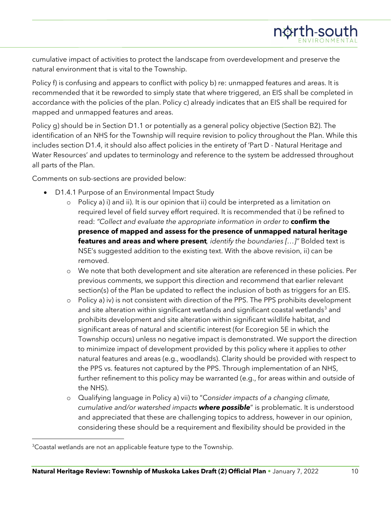cumulative impact of activities to protect the landscape from overdevelopment and preserve the natural environment that is vital to the Township.

Policy f) is confusing and appears to conflict with policy b) re: unmapped features and areas. It is recommended that it be reworded to simply state that where triggered, an EIS shall be completed in accordance with the policies of the plan. Policy c) already indicates that an EIS shall be required for mapped and unmapped features and areas.

Policy g) should be in Section D1.1 or potentially as a general policy objective (Section B2). The identification of an NHS for the Township will require revision to policy throughout the Plan. While this includes section D1.4, it should also affect policies in the entirety of 'Part D - Natural Heritage and Water Resources' and updates to terminology and reference to the system be addressed throughout all parts of the Plan.

Comments on sub-sections are provided below:

- D1.4.1 Purpose of an Environmental Impact Study
	- o Policy a) i) and ii). It is our opinion that ii) could be interpreted as a limitation on required level of field survey effort required. It is recommended that i) be refined to read: *"Collect and evaluate the appropriate information in order to* **confirm the presence of mapped and assess for the presence of unmapped natural heritage features and areas and where present***, identify the boundaries […]"* Bolded text is NSE's suggested addition to the existing text. With the above revision, ii) can be removed.
	- o We note that both development and site alteration are referenced in these policies. Per previous comments, we support this direction and recommend that earlier relevant section(s) of the Plan be updated to reflect the inclusion of both as triggers for an EIS.
	- o Policy a) iv) is not consistent with direction of the PPS. The PPS prohibits development and site alteration within significant wetlands and significant coastal wetlands $3$  and prohibits development and site alteration within significant wildlife habitat, and significant areas of natural and scientific interest (for Ecoregion 5E in which the Township occurs) unless no negative impact is demonstrated. We support the direction to minimize impact of development provided by this policy where it applies to *other*  natural features and areas (e.g., woodlands). Clarity should be provided with respect to the PPS vs. features not captured by the PPS. Through implementation of an NHS, further refinement to this policy may be warranted (e.g., for areas within and outside of the NHS).
	- o Qualifying language in Policy a) vii) to "C*onsider impacts of a changing climate, cumulative and/or watershed impacts where possible*" is problematic. It is understood and appreciated that these are challenging topics to address, however in our opinion, considering these should be a requirement and flexibility should be provided in the

<span id="page-9-0"></span><sup>&</sup>lt;sup>3</sup>Coastal wetlands are not an applicable feature type to the Township.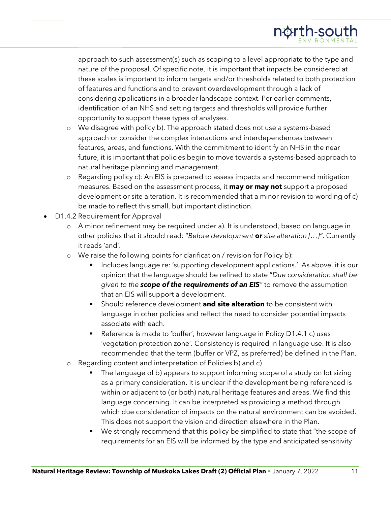approach to such assessment(s) such as scoping to a level appropriate to the type and nature of the proposal. Of specific note, it is important that impacts be considered at these scales is important to inform targets and/or thresholds related to both protection of features and functions and to prevent overdevelopment through a lack of considering applications in a broader landscape context. Per earlier comments, identification of an NHS and setting targets and thresholds will provide further opportunity to support these types of analyses.

- o We disagree with policy b). The approach stated does not use a systems-based approach or consider the complex interactions and interdependences between features, areas, and functions. With the commitment to identify an NHS in the near future, it is important that policies begin to move towards a systems-based approach to natural heritage planning and management.
- o Regarding policy c): An EIS is prepared to assess impacts and recommend mitigation measures. Based on the assessment process, it **may or may not** support a proposed development or site alteration. It is recommended that a minor revision to wording of c) be made to reflect this small, but important distinction.
- D1.4.2 Requirement for Approval
	- o A minor refinement may be required under a). It is understood, based on language in other policies that it should read: "*Before development* **or** *site alteration […]"*. Currently it reads 'and'.
	- o We raise the following points for clarification / revision for Policy b):
		- **Includes language re: 'supporting development applications.' As above, it is our** opinion that the language should be refined to state "*Due consideration shall be given to the scope of the requirements of an EIS"* to remove the assumption that an EIS will support a development.
		- **Should reference development and site alteration** to be consistent with language in other policies and reflect the need to consider potential impacts associate with each.
		- Reference is made to 'buffer', however language in Policy D1.4.1 c) uses 'vegetation protection zone'. Consistency is required in language use. It is also recommended that the term (buffer or VPZ, as preferred) be defined in the Plan.
	- o Regarding content and interpretation of Policies b) and c)
		- The language of b) appears to support informing scope of a study on lot sizing as a primary consideration. It is unclear if the development being referenced is within or adjacent to (or both) natural heritage features and areas. We find this language concerning. It can be interpreted as providing a method through which due consideration of impacts on the natural environment can be avoided. This does not support the vision and direction elsewhere in the Plan.
		- **We strongly recommend that this policy be simplified to state that "the scope of** requirements for an EIS will be informed by the type and anticipated sensitivity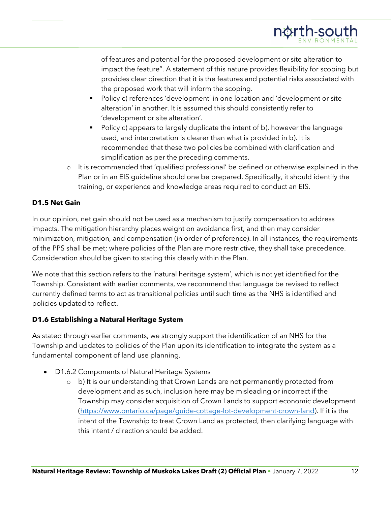of features and potential for the proposed development or site alteration to impact the feature". A statement of this nature provides flexibility for scoping but provides clear direction that it is the features and potential risks associated with the proposed work that will inform the scoping.

- Policy c) references 'development' in one location and 'development or site alteration' in another. It is assumed this should consistently refer to 'development or site alteration'.
- Policy c) appears to largely duplicate the intent of b), however the language used, and interpretation is clearer than what is provided in b). It is recommended that these two policies be combined with clarification and simplification as per the preceding comments.
- o It is recommended that 'qualified professional' be defined or otherwise explained in the Plan or in an EIS guideline should one be prepared. Specifically, it should identify the training, or experience and knowledge areas required to conduct an EIS.

#### **D1.5 Net Gain**

In our opinion, net gain should not be used as a mechanism to justify compensation to address impacts. The mitigation hierarchy places weight on avoidance first, and then may consider minimization, mitigation, and compensation (in order of preference). In all instances, the requirements of the PPS shall be met; where policies of the Plan are more restrictive, they shall take precedence. Consideration should be given to stating this clearly within the Plan.

We note that this section refers to the 'natural heritage system', which is not yet identified for the Township. Consistent with earlier comments, we recommend that language be revised to reflect currently defined terms to act as transitional policies until such time as the NHS is identified and policies updated to reflect.

## **D1.6 Establishing a Natural Heritage System**

As stated through earlier comments, we strongly support the identification of an NHS for the Township and updates to policies of the Plan upon its identification to integrate the system as a fundamental component of land use planning.

- D1.6.2 Components of Natural Heritage Systems
	- o b) It is our understanding that Crown Lands are not permanently protected from development and as such, inclusion here may be misleading or incorrect if the Township may consider acquisition of Crown Lands to support economic development [\(https://www.ontario.ca/page/guide-cottage-lot-development-crown-land\)](https://www.ontario.ca/page/guide-cottage-lot-development-crown-land). If it is the intent of the Township to treat Crown Land as protected, then clarifying language with this intent / direction should be added.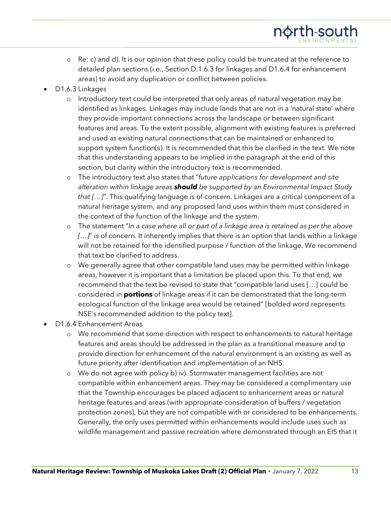- o Re: c) and d). It is our opinion that these policy could be truncated at the reference to detailed plan sections (i.e., Section D.1.6.3 for linkages and D1.6.4 for enhancement areas) to avoid any duplication or conflict between policies.
- D1.6.3 Linkages
	- o Introductory text could be interpreted that only areas of natural vegetation may be identified as linkages. Linkages may include lands that are not in a 'natural state' where they provide important connections across the landscape or between significant features and areas. To the extent possible, alignment with existing features is preferred and used as existing natural connections that can be maintained or enhanced to support system function(s). It is recommended that this be clarified in the text. We note that this understanding appears to be implied in the paragraph at the end of this section, but clarity within the introductory text is recommended.
	- o The introductory text also states that "*future applications for development and site alteration within linkage areas should be supported by an Environmental Impact Study that […]"*. This qualifying language is of concern. Linkages are a critical component of a natural heritage system, and any proposed land uses within them must considered in the context of the function of the linkage and the system.
	- o The statement "*In a case where all or part of a linkage area is retained as per the above […]*" is of concern. It inherently implies that there is an option that lands within a linkage will not be retained for the identified purpose / function of the linkage. We recommend that text be clarified to address.
	- o We generally agree that other compatible land uses may be permitted within linkage areas, however it is important that a limitation be placed upon this. To that end, we recommend that the text be revised to state that "compatible land uses […] could be considered in **portions** of linkage areas if it can be demonstrated that the long-term ecological function of the linkage area would be retained" [bolded word represents NSE's recommended addition to the policy text].
- D1.6.4 Enhancement Areas
	- o We recommend that some direction with respect to enhancements to natural heritage features and areas should be addressed in the plan as a transitional measure and to provide direction for enhancement of the natural environment is an existing as well as future priority after identification and implementation of an NHS.
	- o We do not agree with policy b) iv). Stormwater management facilities are not compatible within enhancement areas. They may be considered a complimentary use that the Township encourages be placed adjacent to enhancement areas or natural heritage features and areas (with appropriate consideration of buffers / vegetation protection zones), but they are not compatible with or considered to be enhancements. Generally, the only uses permitted within enhancements would include uses such as wildlife management and passive recreation where demonstrated through an EIS that it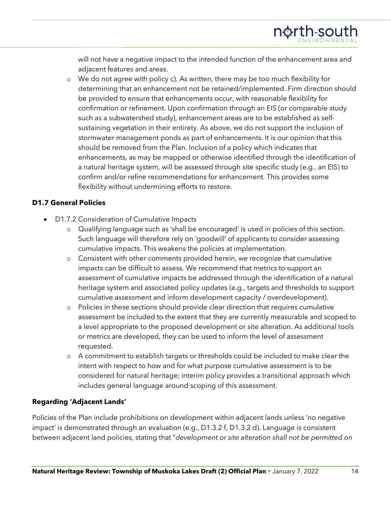will not have a negative impact to the intended function of the enhancement area and adjacent features and areas.

o We do not agree with policy c). As written, there may be too much flexibility for determining that an enhancement not be retained/implemented. Firm direction should be provided to ensure that enhancements occur, with reasonable flexibility for confirmation or refinement. Upon confirmation through an EIS (or comparable study such as a subwatershed study), enhancement areas are to be established as selfsustaining vegetation in their entirety. As above, we do not support the inclusion of stormwater management ponds as part of enhancements. It is our opinion that this should be removed from the Plan. Inclusion of a policy which indicates that enhancements, as may be mapped or otherwise identified through the identification of a natural heritage system, will be assessed through site specific study (e.g., an EIS) to confirm and/or refine recommendations for enhancement. This provides some flexibility without undermining efforts to restore.

#### **D1.7 General Policies**

- D1.7.2 Consideration of Cumulative Impacts
	- o Qualifying language such as 'shall be encouraged' is used in policies of this section. Such language will therefore rely on 'goodwill' of applicants to consider assessing cumulative impacts. This weakens the policies at implementation.
	- o Consistent with other comments provided herein, we recognize that cumulative impacts can be difficult to assess. We recommend that metrics to support an assessment of cumulative impacts be addressed through the identification of a natural heritage system and associated policy updates (e.g., targets and thresholds to support cumulative assessment and inform development capacity / overdevelopment).
	- o Policies in these sections should provide clear direction that requires cumulative assessment be included to the extent that they are currently measurable and scoped to a level appropriate to the proposed development or site alteration. As additional tools or metrics are developed, they can be used to inform the level of assessment requested.
	- o A commitment to establish targets or thresholds could be included to make clear the intent with respect to how and for what purpose cumulative assessment is to be considered for natural heritage; interim policy provides a transitional approach which includes general language around scoping of this assessment.

## **Regarding 'Adjacent Lands'**

Policies of the Plan include prohibitions on development within adjacent lands unless 'no negative impact' is demonstrated through an evaluation (e.g., D1.3.2 f, D1.3.2 d). Language is consistent between adjacent land policies, stating that "*development or site alteration shall not be permitted on*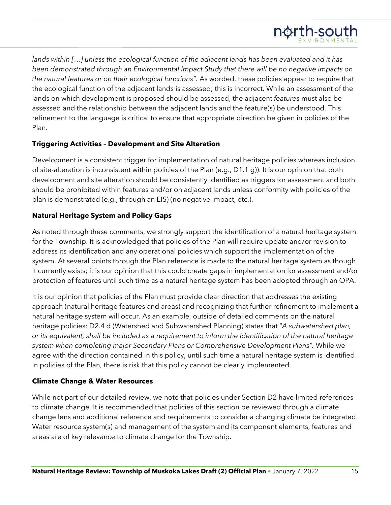

*lands within [*…*] unless the ecological function of the adjacent lands has been evaluated and it has been demonstrated through an Environmental Impact Study that there will be no negative impacts on the natural features or on their ecological functions".* As worded, these policies appear to require that the ecological function of the adjacent lands is assessed; this is incorrect. While an assessment of the lands on which development is proposed should be assessed, the adjacent *features* must also be assessed and the relationship between the adjacent lands and the feature(s) be understood. This refinement to the language is critical to ensure that appropriate direction be given in policies of the Plan.

#### **Triggering Activities – Development and Site Alteration**

Development is a consistent trigger for implementation of natural heritage policies whereas inclusion of site-alteration is inconsistent within policies of the Plan (e.g., D1.1 g)). It is our opinion that both development and site alteration should be consistently identified as triggers for assessment and both should be prohibited within features and/or on adjacent lands unless conformity with policies of the plan is demonstrated (e.g., through an EIS) (no negative impact, etc.).

#### **Natural Heritage System and Policy Gaps**

As noted through these comments, we strongly support the identification of a natural heritage system for the Township. It is acknowledged that policies of the Plan will require update and/or revision to address its identification and any operational policies which support the implementation of the system. At several points through the Plan reference is made to the natural heritage system as though it currently exists; it is our opinion that this could create gaps in implementation for assessment and/or protection of features until such time as a natural heritage system has been adopted through an OPA.

It is our opinion that policies of the Plan must provide clear direction that addresses the existing approach (natural heritage features and areas) and recognizing that further refinement to implement a natural heritage system will occur. As an example, outside of detailed comments on the natural heritage policies: D2.4 d (Watershed and Subwatershed Planning) states that "*A subwatershed plan, or its equivalent, shall be included as a requirement to inform the identification of the natural heritage system when completing major Secondary Plans or Comprehensive Development Plans".* While we agree with the direction contained in this policy, until such time a natural heritage system is identified in policies of the Plan, there is risk that this policy cannot be clearly implemented.

#### **Climate Change & Water Resources**

While not part of our detailed review, we note that policies under Section D2 have limited references to climate change. It is recommended that policies of this section be reviewed through a climate change lens and additional reference and requirements to consider a changing climate be integrated. Water resource system(s) and management of the system and its component elements, features and areas are of key relevance to climate change for the Township.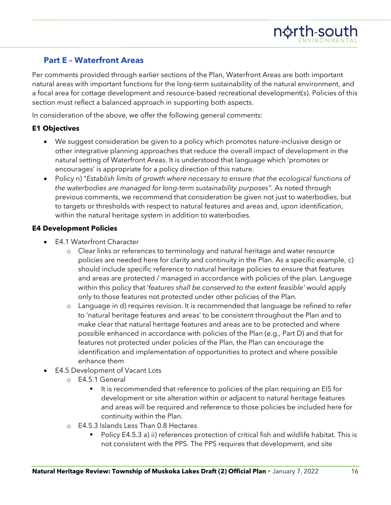## **Part E – Waterfront Areas**

Per comments provided through earlier sections of the Plan, Waterfront Areas are both important natural areas with important functions for the long-term sustainability of the natural environment, and a focal area for cottage development and resource-based recreational development(s). Policies of this section must reflect a balanced approach in supporting both aspects.

In consideration of the above, we offer the following general comments:

## **E1 Objectives**

- We suggest consideration be given to a policy which promotes nature-inclusive design or other integrative planning approaches that reduce the overall impact of development in the natural setting of Waterfront Areas. It is understood that language which 'promotes or encourages' is appropriate for a policy direction of this nature.
- Policy n) "*Establish limits of growth where necessary to ensure that the ecological functions of the waterbodies are managed for long-term sustainability purposes".* As noted through previous comments, we recommend that consideration be given not just to waterbodies, but to targets or thresholds with respect to natural features and areas and, upon identification, within the natural heritage system in addition to waterbodies.

#### **E4 Development Policies**

- E4.1 Waterfront Character
	- o Clear links or references to terminology and natural heritage and water resource policies are needed here for clarity and continuity in the Plan. As a specific example, c) should include specific reference to natural heritage policies to ensure that features and areas are protected / managed in accordance with policies of the plan. Language within this policy that '*features shall be conserved to the extent feasible'* would apply only to those features not protected under other policies of the Plan.
	- o Language in d) requires revision. It is recommended that language be refined to refer to 'natural heritage features and areas' to be consistent throughout the Plan and to make clear that natural heritage features and areas are to be protected and where possible enhanced in accordance with policies of the Plan (e.g., Part D) and that for features not protected under policies of the Plan, the Plan can encourage the identification and implementation of opportunities to protect and where possible enhance them
- E4.5 Development of Vacant Lots
	- o E4.5.1 General
		- It is recommended that reference to policies of the plan requiring an EIS for development or site alteration within or adjacent to natural heritage features and areas will be required and reference to those policies be included here for continuity within the Plan.
	- o E4.5.3 Islands Less Than 0.8 Hectares
		- Policy E4.5.3 a) ii) references protection of critical fish and wildlife habitat. This is not consistent with the PPS. The PPS requires that development, and site